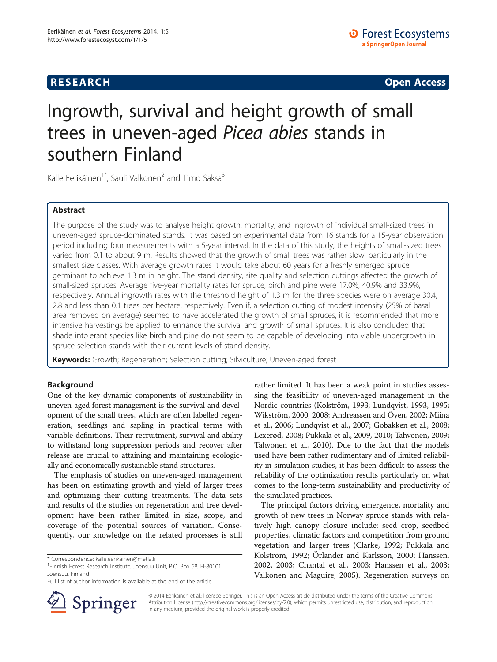## **RESEARCH RESEARCH CONSUMING ACCESS**

# Ingrowth, survival and height growth of small trees in uneven-aged Picea abies stands in southern Finland

Kalle Eerikäinen<sup>1\*</sup>, Sauli Valkonen<sup>2</sup> and Timo Saksa<sup>3</sup>

## Abstract

The purpose of the study was to analyse height growth, mortality, and ingrowth of individual small-sized trees in uneven-aged spruce-dominated stands. It was based on experimental data from 16 stands for a 15-year observation period including four measurements with a 5-year interval. In the data of this study, the heights of small-sized trees varied from 0.1 to about 9 m. Results showed that the growth of small trees was rather slow, particularly in the smallest size classes. With average growth rates it would take about 60 years for a freshly emerged spruce germinant to achieve 1.3 m in height. The stand density, site quality and selection cuttings affected the growth of small-sized spruces. Average five-year mortality rates for spruce, birch and pine were 17.0%, 40.9% and 33.9%, respectively. Annual ingrowth rates with the threshold height of 1.3 m for the three species were on average 30.4, 2.8 and less than 0.1 trees per hectare, respectively. Even if, a selection cutting of modest intensity (25% of basal area removed on average) seemed to have accelerated the growth of small spruces, it is recommended that more intensive harvestings be applied to enhance the survival and growth of small spruces. It is also concluded that shade intolerant species like birch and pine do not seem to be capable of developing into viable undergrowth in spruce selection stands with their current levels of stand density.

Keywords: Growth; Regeneration; Selection cutting; Silviculture; Uneven-aged forest

## Background

One of the key dynamic components of sustainability in uneven-aged forest management is the survival and development of the small trees, which are often labelled regeneration, seedlings and sapling in practical terms with variable definitions. Their recruitment, survival and ability to withstand long suppression periods and recover after release are crucial to attaining and maintaining ecologically and economically sustainable stand structures.

The emphasis of studies on uneven-aged management has been on estimating growth and yield of larger trees and optimizing their cutting treatments. The data sets and results of the studies on regeneration and tree development have been rather limited in size, scope, and coverage of the potential sources of variation. Consequently, our knowledge on the related processes is still

Full list of author information is available at the end of the article



rather limited. It has been a weak point in studies assessing the feasibility of uneven-aged management in the Nordic countries (Kolström, [1993;](#page-9-0) Lundqvist, [1993, 1995](#page-9-0); Wikström, [2000](#page-9-0), [2008](#page-9-0); Andreassen and Öyen, [2002](#page-8-0); Miina et al., [2006](#page-9-0); Lundqvist et al., [2007](#page-9-0); Gobakken et al., [2008](#page-9-0); Lexerød, [2008](#page-9-0); Pukkala et al., [2009, 2010;](#page-9-0) Tahvonen, [2009](#page-9-0); Tahvonen et al., [2010](#page-9-0)). Due to the fact that the models used have been rather rudimentary and of limited reliability in simulation studies, it has been difficult to assess the reliability of the optimization results particularly on what comes to the long-term sustainability and productivity of the simulated practices.

The principal factors driving emergence, mortality and growth of new trees in Norway spruce stands with relatively high canopy closure include: seed crop, seedbed properties, climatic factors and competition from ground vegetation and larger trees (Clarke, [1992;](#page-8-0) Pukkala and Kolström, [1992;](#page-9-0) Örlander and Karlsson, [2000;](#page-9-0) Hanssen, [2002](#page-9-0), [2003;](#page-9-0) Chantal et al., [2003](#page-8-0); Hanssen et al., [2003](#page-9-0); Valkonen and Maguire, [2005](#page-9-0)). Regeneration surveys on

© 2014 Eerikäinen et al.; licensee Springer. This is an Open Access article distributed under the terms of the Creative Commons Attribution License [\(http://creativecommons.org/licenses/by/2.0\)](http://www.R-project.org/), which permits unrestricted use, distribution, and reproduction in any medium, provided the original work is properly credited.

<sup>\*</sup> Correspondence: [kalle.eerikainen@metla.fi](mailto:kalle.eerikainen@metla.fi) <sup>1</sup>

Finnish Forest Research Institute, Joensuu Unit, P.O. Box 68, FI-80101 Joensuu, Finland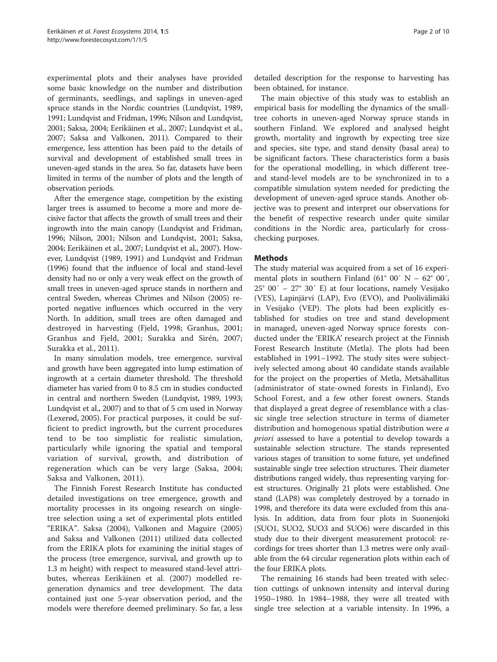experimental plots and their analyses have provided some basic knowledge on the number and distribution of germinants, seedlings, and saplings in uneven-aged spruce stands in the Nordic countries (Lundqvist, [1989](#page-9-0), [1991](#page-9-0); Lundqvist and Fridman, [1996](#page-9-0); Nilson and Lundqvist, [2001;](#page-9-0) Saksa, [2004;](#page-9-0) Eerikäinen et al., [2007](#page-8-0); Lundqvist et al., [2007;](#page-9-0) Saksa and Valkonen, [2011](#page-9-0)). Compared to their emergence, less attention has been paid to the details of survival and development of established small trees in uneven-aged stands in the area. So far, datasets have been limited in terms of the number of plots and the length of observation periods.

After the emergence stage, competition by the existing larger trees is assumed to become a more and more decisive factor that affects the growth of small trees and their ingrowth into the main canopy (Lundqvist and Fridman, [1996;](#page-9-0) Nilson, [2001](#page-9-0); Nilson and Lundqvist, [2001](#page-9-0); Saksa, [2004;](#page-9-0) Eerikäinen et al., [2007](#page-8-0); Lundqvist et al., [2007\)](#page-9-0). However, Lundqvist [\(1989](#page-9-0), [1991](#page-9-0)) and Lundqvist and Fridman ([1996\)](#page-9-0) found that the influence of local and stand-level density had no or only a very weak effect on the growth of small trees in uneven-aged spruce stands in northern and central Sweden, whereas Chrimes and Nilson ([2005\)](#page-8-0) reported negative influences which occurred in the very North. In addition, small trees are often damaged and destroyed in harvesting (Fjeld, [1998;](#page-9-0) Granhus, [2001](#page-9-0); Granhus and Fjeld, [2001;](#page-9-0) Surakka and Sirén, [2007](#page-9-0); Surakka et al., [2011](#page-9-0)).

In many simulation models, tree emergence, survival and growth have been aggregated into lump estimation of ingrowth at a certain diameter threshold. The threshold diameter has varied from 0 to 8.5 cm in studies conducted in central and northern Sweden (Lundqvist, [1989, 1993](#page-9-0); Lundqvist et al., [2007](#page-9-0)) and to that of 5 cm used in Norway (Lexerød, [2005](#page-9-0)). For practical purposes, it could be sufficient to predict ingrowth, but the current procedures tend to be too simplistic for realistic simulation, particularly while ignoring the spatial and temporal variation of survival, growth, and distribution of regeneration which can be very large (Saksa, [2004](#page-9-0); Saksa and Valkonen, [2011\)](#page-9-0).

The Finnish Forest Research Institute has conducted detailed investigations on tree emergence, growth and mortality processes in its ongoing research on singletree selection using a set of experimental plots entitled "ERIKA". Saksa [\(2004\)](#page-9-0), Valkonen and Maguire ([2005](#page-9-0)) and Saksa and Valkonen ([2011\)](#page-9-0) utilized data collected from the ERIKA plots for examining the initial stages of the process (tree emergence, survival, and growth up to 1.3 m height) with respect to measured stand-level attributes, whereas Eerikäinen et al. ([2007](#page-8-0)) modelled regeneration dynamics and tree development. The data contained just one 5-year observation period, and the models were therefore deemed preliminary. So far, a less

detailed description for the response to harvesting has been obtained, for instance.

The main objective of this study was to establish an empirical basis for modelling the dynamics of the smalltree cohorts in uneven-aged Norway spruce stands in southern Finland. We explored and analysed height growth, mortality and ingrowth by expecting tree size and species, site type, and stand density (basal area) to be significant factors. These characteristics form a basis for the operational modelling, in which different treeand stand-level models are to be synchronized in to a compatible simulation system needed for predicting the development of uneven-aged spruce stands. Another objective was to present and interpret our observations for the benefit of respective research under quite similar conditions in the Nordic area, particularly for crosschecking purposes.

## Methods

The study material was acquired from a set of 16 experimental plots in southern Finland  $(61^{\circ}~00'~\mathrm{N} - 62^{\circ}~00'$ , 25° 00´ – 27° 30´ E) at four locations, namely Vesijako (VES), Lapinjärvi (LAP), Evo (EVO), and Puolivälimäki in Vesijako (VEP). The plots had been explicitly established for studies on tree and stand development in managed, uneven-aged Norway spruce forests conducted under the 'ERIKA' research project at the Finnish Forest Research Institute (Metla). The plots had been established in 1991–1992. The study sites were subjectively selected among about 40 candidate stands available for the project on the properties of Metla, Metsähallitus (administrator of state-owned forests in Finland), Evo School Forest, and a few other forest owners. Stands that displayed a great degree of resemblance with a classic single tree selection structure in terms of diameter distribution and homogenous spatial distribution were *a* priori assessed to have a potential to develop towards a sustainable selection structure. The stands represented various stages of transition to some future, yet undefined sustainable single tree selection structures. Their diameter distributions ranged widely, thus representing varying forest structures. Originally 21 plots were established. One stand (LAP8) was completely destroyed by a tornado in 1998, and therefore its data were excluded from this analysis. In addition, data from four plots in Suonenjoki (SUO1, SUO2, SUO3 and SUO6) were discarded in this study due to their divergent measurement protocol: recordings for trees shorter than 1.3 metres were only available from the 64 circular regeneration plots within each of the four ERIKA plots.

The remaining 16 stands had been treated with selection cuttings of unknown intensity and interval during 1950–1980. In 1984–1988, they were all treated with single tree selection at a variable intensity. In 1996, a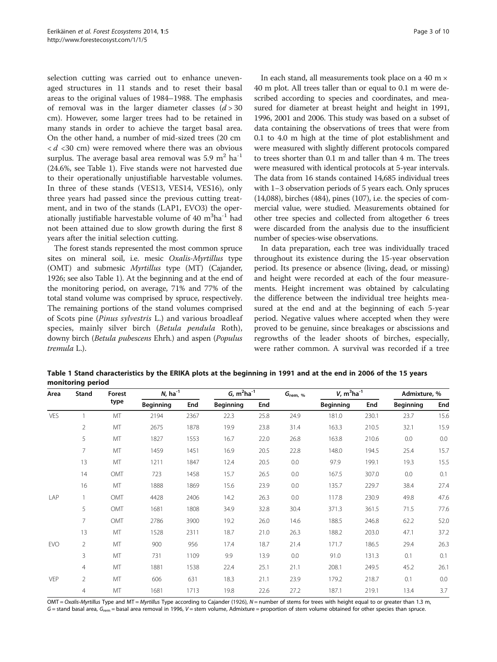selection cutting was carried out to enhance unevenaged structures in 11 stands and to reset their basal areas to the original values of 1984–1988. The emphasis of removal was in the larger diameter classes  $(d > 30)$ cm). However, some larger trees had to be retained in many stands in order to achieve the target basal area. On the other hand, a number of mid-sized trees (20 cm  $d$  < 30 cm) were removed where there was an obvious surplus. The average basal area removal was 5.9  $m<sup>2</sup>$  ha<sup>-1</sup> (24.6%, see Table 1). Five stands were not harvested due to their operationally unjustifiable harvestable volumes. In three of these stands (VES13, VES14, VES16), only three years had passed since the previous cutting treatment, and in two of the stands (LAP1, EVO3) the operationally justifiable harvestable volume of 40 m<sup>3</sup>ha<sup>-1</sup> had not been attained due to slow growth during the first 8 years after the initial selection cutting.

The forest stands represented the most common spruce sites on mineral soil, i.e. mesic Oxalis-Myrtillus type (OMT) and submesic Myrtillus type (MT) (Cajander, [1926;](#page-8-0) see also Table 1). At the beginning and at the end of the monitoring period, on average, 71% and 77% of the total stand volume was comprised by spruce, respectively. The remaining portions of the stand volumes comprised of Scots pine (Pinus sylvestris L.) and various broadleaf species, mainly silver birch (Betula pendula Roth), downy birch (Betula pubescens Ehrh.) and aspen (Populus tremula L.).

In each stand, all measurements took place on a 40 m × 40 m plot. All trees taller than or equal to 0.1 m were described according to species and coordinates, and measured for diameter at breast height and height in 1991, 1996, 2001 and 2006. This study was based on a subset of data containing the observations of trees that were from 0.1 to 4.0 m high at the time of plot establishment and were measured with slightly different protocols compared to trees shorter than 0.1 m and taller than 4 m. The trees were measured with identical protocols at 5-year intervals. The data from 16 stands contained 14,685 individual trees with 1−3 observation periods of 5 years each. Only spruces (14,088), birches (484), pines (107), i.e. the species of commercial value, were studied. Measurements obtained for other tree species and collected from altogether 6 trees were discarded from the analysis due to the insufficient number of species-wise observations.

In data preparation, each tree was individually traced throughout its existence during the 15-year observation period. Its presence or absence (living, dead, or missing) and height were recorded at each of the four measurements. Height increment was obtained by calculating the difference between the individual tree heights measured at the end and at the beginning of each 5-year period. Negative values where accepted when they were proved to be genuine, since breakages or abscissions and regrowths of the leader shoots of birches, especially, were rather common. A survival was recorded if a tree

Table 1 Stand characteristics by the ERIKA plots at the beginning in 1991 and at the end in 2006 of the 15 years monitoring period

| Area       | Stand          | Forest<br>type | $N$ , ha <sup>-1</sup> |      | $G, m2ha-1$      |      | $G_{\mathsf{rem},\ \%}$ | $V, m^3$ ha <sup>-1</sup> |       | Admixture, % |      |
|------------|----------------|----------------|------------------------|------|------------------|------|-------------------------|---------------------------|-------|--------------|------|
|            |                |                | <b>Beginning</b>       | End  | <b>Beginning</b> | End  |                         | Beginning                 | End   | Beginning    | End  |
| <b>VES</b> |                | MT             | 2194                   | 2367 | 22.3             | 25.8 | 24.9                    | 181.0                     | 230.1 | 23.7         | 15.6 |
|            | 2              | MT             | 2675                   | 1878 | 19.9             | 23.8 | 31.4                    | 163.3                     | 210.5 | 32.1         | 15.9 |
|            | 5              | MT             | 1827                   | 1553 | 16.7             | 22.0 | 26.8                    | 163.8                     | 210.6 | 0.0          | 0.0  |
|            | 7              | MT             | 1459                   | 1451 | 16.9             | 20.5 | 22.8                    | 148.0                     | 194.5 | 25.4         | 15.7 |
|            | 13             | MT             | 1211                   | 1847 | 12.4             | 20.5 | 0.0                     | 97.9                      | 199.1 | 19.3         | 15.5 |
|            | 14             | OMT            | 723                    | 1458 | 15.7             | 26.5 | 0.0                     | 167.5                     | 307.0 | 0.0          | 0.1  |
|            | 16             | MT             | 1888                   | 1869 | 15.6             | 23.9 | 0.0                     | 135.7                     | 229.7 | 38.4         | 27.4 |
| LAP        |                | OMT            | 4428                   | 2406 | 14.2             | 26.3 | 0.0                     | 117.8                     | 230.9 | 49.8         | 47.6 |
|            | 5              | OMT            | 1681                   | 1808 | 34.9             | 32.8 | 30.4                    | 371.3                     | 361.5 | 71.5         | 77.6 |
|            | 7              | OMT            | 2786                   | 3900 | 19.2             | 26.0 | 14.6                    | 188.5                     | 246.8 | 62.2         | 52.0 |
|            | 13             | MT             | 1528                   | 2311 | 18.7             | 21.0 | 26.3                    | 188.2                     | 203.0 | 47.1         | 37.2 |
| <b>EVO</b> | $\overline{2}$ | MT             | 900                    | 956  | 17.4             | 18.7 | 21.4                    | 171.7                     | 186.5 | 29.4         | 26.3 |
|            | 3              | MT             | 731                    | 1109 | 9.9              | 13.9 | 0.0                     | 91.0                      | 131.3 | 0.1          | 0.1  |
|            | $\overline{4}$ | MT             | 1881                   | 1538 | 22.4             | 25.1 | 21.1                    | 208.1                     | 249.5 | 45.2         | 26.1 |
| <b>VEP</b> | $\overline{2}$ | MT             | 606                    | 631  | 18.3             | 21.1 | 23.9                    | 179.2                     | 218.7 | 0.1          | 0.0  |
|            | $\overline{4}$ | MT             | 1681                   | 1713 | 19.8             | 22.6 | 27.2                    | 187.1                     | 219.1 | 13.4         | 3.7  |

OMT = Oxalis-Myrtillus Type and MT = Myrtillus Type according to Cajander [\(1926\)](#page-8-0), N = number of stems for trees with height equal to or greater than 1.3 m,  $G$  = stand basal area,  $G_{\rm rem}$  = basal area removal in 1996, V = stem volume, Admixture = proportion of stem volume obtained for other species than spruce.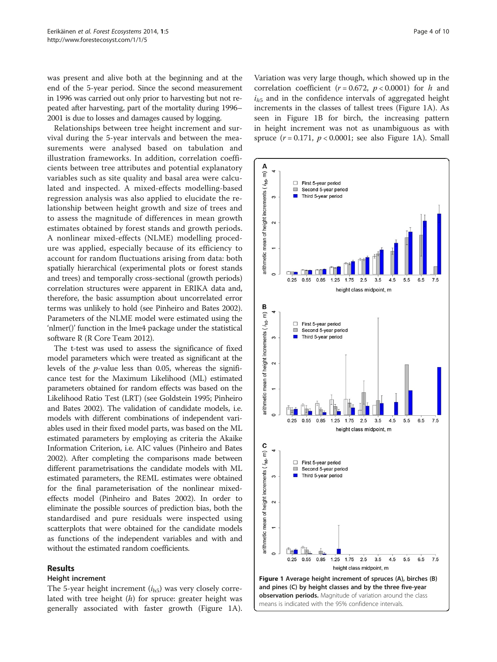<span id="page-3-0"></span>was present and alive both at the beginning and at the end of the 5-year period. Since the second measurement in 1996 was carried out only prior to harvesting but not repeated after harvesting, part of the mortality during 1996– 2001 is due to losses and damages caused by logging.

Relationships between tree height increment and survival during the 5-year intervals and between the measurements were analysed based on tabulation and illustration frameworks. In addition, correlation coefficients between tree attributes and potential explanatory variables such as site quality and basal area were calculated and inspected. A mixed-effects modelling-based regression analysis was also applied to elucidate the relationship between height growth and size of trees and to assess the magnitude of differences in mean growth estimates obtained by forest stands and growth periods. A nonlinear mixed-effects (NLME) modelling procedure was applied, especially because of its efficiency to account for random fluctuations arising from data: both spatially hierarchical (experimental plots or forest stands and trees) and temporally cross-sectional (growth periods) correlation structures were apparent in ERIKA data and, therefore, the basic assumption about uncorrelated error terms was unlikely to hold (see Pinheiro and Bates [2002](#page-9-0)). Parameters of the NLME model were estimated using the 'nlmer()' function in the lme4 package under the statistical software R (R Core Team [2012\)](#page-9-0).

The t-test was used to assess the significance of fixed model parameters which were treated as significant at the levels of the p-value less than 0.05, whereas the significance test for the Maximum Likelihood (ML) estimated parameters obtained for random effects was based on the Likelihood Ratio Test (LRT) (see Goldstein [1995;](#page-9-0) Pinheiro and Bates [2002\)](#page-9-0). The validation of candidate models, i.e. models with different combinations of independent variables used in their fixed model parts, was based on the ML estimated parameters by employing as criteria the Akaike Information Criterion, i.e. AIC values (Pinheiro and Bates [2002\)](#page-9-0). After completing the comparisons made between different parametrisations the candidate models with ML estimated parameters, the REML estimates were obtained for the final parameterisation of the nonlinear mixedeffects model (Pinheiro and Bates [2002\)](#page-9-0). In order to eliminate the possible sources of prediction bias, both the standardised and pure residuals were inspected using scatterplots that were obtained for the candidate models as functions of the independent variables and with and without the estimated random coefficients.

## Results

## Height increment

The 5-year height increment  $(i<sub>h5</sub>)$  was very closely correlated with tree height  $(h)$  for spruce: greater height was generally associated with faster growth (Figure 1A).

Variation was very large though, which showed up in the correlation coefficient ( $r = 0.672$ ,  $p < 0.0001$ ) for h and  $i_{h5}$  and in the confidence intervals of aggregated height increments in the classes of tallest trees (Figure 1A). As seen in Figure 1B for birch, the increasing pattern in height increment was not as unambiguous as with spruce  $(r = 0.171, p < 0.0001;$  see also Figure 1A). Small

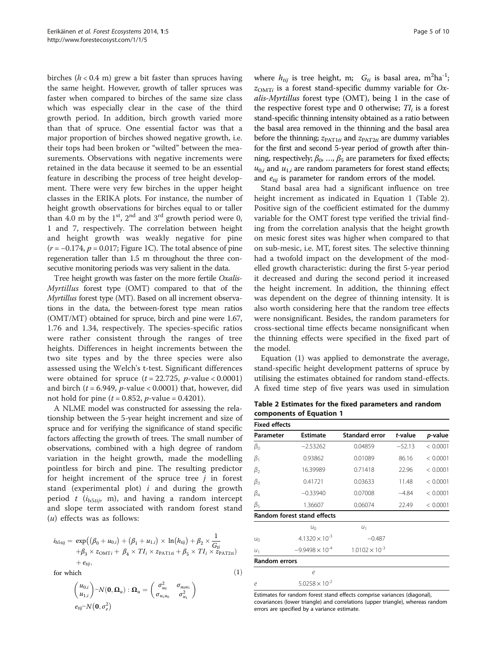<span id="page-4-0"></span>birches ( $h < 0.4$  m) grew a bit faster than spruces having the same height. However, growth of taller spruces was faster when compared to birches of the same size class which was especially clear in the case of the third growth period. In addition, birch growth varied more than that of spruce. One essential factor was that a major proportion of birches showed negative growth, i.e. their tops had been broken or "wilted" between the measurements. Observations with negative increments were retained in the data because it seemed to be an essential feature in describing the process of tree height development. There were very few birches in the upper height classes in the ERIKA plots. For instance, the number of height growth observations for birches equal to or taller than 4.0 m by the  $1<sup>st</sup>$ ,  $2<sup>nd</sup>$  and  $3<sup>rd</sup>$  growth period were 0, 1 and 7, respectively. The correlation between height and height growth was weakly negative for pine  $(r = -0.174, p = 0.017;$  Figure [1C](#page-3-0)). The total absence of pine regeneration taller than 1.5 m throughout the three consecutive monitoring periods was very salient in the data.

Tree height growth was faster on the more fertile Oxalis-Myrtillus forest type (OMT) compared to that of the Myrtillus forest type (MT). Based on all increment observations in the data, the between-forest type mean ratios (OMT/MT) obtained for spruce, birch and pine were 1.67, 1.76 and 1.34, respectively. The species-specific ratios were rather consistent through the ranges of tree heights. Differences in height increments between the two site types and by the three species were also assessed using the Welch's t-test. Significant differences were obtained for spruce  $(t = 22.725, p-value < 0.0001)$ and birch ( $t = 6.949$ ,  $p$ -value < 0.0001) that, however, did not hold for pine ( $t = 0.852$ ,  $p$ -value = 0.4201).

A NLME model was constructed for assessing the relationship between the 5-year height increment and size of spruce and for verifying the significance of stand specific factors affecting the growth of trees. The small number of observations, combined with a high degree of random variation in the height growth, made the modelling pointless for birch and pine. The resulting predictor for height increment of the spruce tree  $j$  in forest stand (experimental plot)  $i$  and during the growth period t  $(i_{h5tij}, m)$ , and having a random intercept and slope term associated with random forest stand  $(u)$  effects was as follows:

$$
i_{h5tij} = \exp((\beta_0 + u_{0,i}) + (\beta_1 + u_{1,i}) \times \ln(h_{tij}) + \beta_2 \times \frac{1}{G_{ti}}+ \beta_3 \times z_{\text{OMT}i} + \beta_4 \times TI_i \times z_{\text{PATH}} + \beta_5 \times TI_i \times z_{\text{PATH}})+ e_{tij},
$$
\nfor which (1)

for which

$$
\binom{u_{0,i}}{u_{1,i}} \gamma N(\mathbf{0},\mathbf{\Omega}_u) : \mathbf{\Omega}_u = \binom{\sigma_{u_0}^2 & \sigma_{u_0 u_1}}{\sigma_{u_1 u_0} & \sigma_{u_1}^2}
$$

where  $h_{tij}$  is tree height, m;  $G_{ti}$  is basal area, m<sup>2</sup>ha<sup>-1</sup>;  $z_{\text{OMT}i}$  is a forest stand-specific dummy variable for Oxalis-Myrtillus forest type (OMT), being 1 in the case of the respective forest type and 0 otherwise;  $TI_i$  is a forest stand-specific thinning intensity obtained as a ratio between the basal area removed in the thinning and the basal area before the thinning;  $z_{PAT1ti}$  and  $z_{PAT2ti}$  are dummy variables for the first and second 5-year period of growth after thinning, respectively;  $\beta_0$ , ...,  $\beta_5$  are parameters for fixed effects;  $u_{0,i}$  and  $u_{1,i}$  are random parameters for forest stand effects; and  $e_{tij}$  is parameter for random errors of the model.

Stand basal area had a significant influence on tree height increment as indicated in Equation 1 (Table 2). Positive sign of the coefficient estimated for the dummy variable for the OMT forest type verified the trivial finding from the correlation analysis that the height growth on mesic forest sites was higher when compared to that on sub-mesic, i.e. MT, forest sites. The selective thinning had a twofold impact on the development of the modelled growth characteristic: during the first 5-year period it decreased and during the second period it increased the height increment. In addition, the thinning effect was dependent on the degree of thinning intensity. It is also worth considering here that the random tree effects were nonsignificant. Besides, the random parameters for cross-sectional time effects became nonsignificant when the thinning effects were specified in the fixed part of the model.

Equation (1) was applied to demonstrate the average, stand-specific height development patterns of spruce by utilising the estimates obtained for random stand-effects. A fixed time step of five years was used in simulation

Table 2 Estimates for the fixed parameters and random components of Equation 1

| <b>Fixed effects</b> |                             |                         |          |          |  |  |  |  |  |
|----------------------|-----------------------------|-------------------------|----------|----------|--|--|--|--|--|
| Parameter            | <b>Estimate</b>             | <b>Standard error</b>   | t-value  | p-value  |  |  |  |  |  |
| $\beta_{0}$          | $-2.53262$                  | 0.04859                 | $-52.13$ | < 0.0001 |  |  |  |  |  |
| $\beta_1$            | 0.93862                     | 0.01089                 | 86.16    | < 0.0001 |  |  |  |  |  |
| $\beta_2$            | 16.39989                    | 0.71418                 | 22.96    | < 0.0001 |  |  |  |  |  |
| $\beta_3$            | 0.41721                     | 0.03633                 | 11.48    | < 0.0001 |  |  |  |  |  |
| $\beta_4$            | $-0.33940$                  | 0.07008                 | $-4.84$  | < 0.0001 |  |  |  |  |  |
| $\beta_{5}$          | 1.36607                     | 0.06074                 | 22.49    | < 0.0001 |  |  |  |  |  |
|                      | Random forest stand effects |                         |          |          |  |  |  |  |  |
|                      | $U_{\Omega}$                | $U_1$                   |          |          |  |  |  |  |  |
| $U_0$                | $4.1320 \times 10^{-3}$     | $-0.487$                |          |          |  |  |  |  |  |
| $U_1$                | $-9.9498 \times 10^{-4}$    | $1.0102 \times 10^{-3}$ |          |          |  |  |  |  |  |
| Random errors        |                             |                         |          |          |  |  |  |  |  |
|                      | $\epsilon$                  |                         |          |          |  |  |  |  |  |
| e                    | $5.0258 \times 10^{-2}$     |                         |          |          |  |  |  |  |  |

Estimates for random forest stand effects comprise variances (diagonal), covariances (lower triangle) and correlations (upper triangle), whereas random errors are specified by a variance estimate.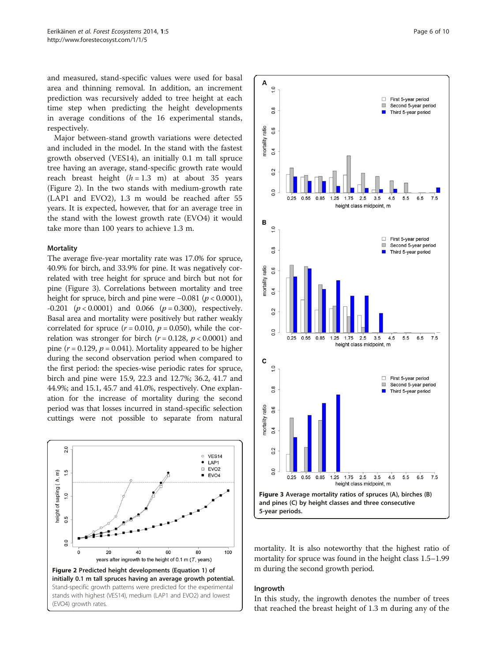<span id="page-5-0"></span>and measured, stand-specific values were used for basal area and thinning removal. In addition, an increment prediction was recursively added to tree height at each time step when predicting the height developments in average conditions of the 16 experimental stands, respectively.

Major between-stand growth variations were detected and included in the model. In the stand with the fastest growth observed (VES14), an initially 0.1 m tall spruce tree having an average, stand-specific growth rate would reach breast height  $(h = 1.3 \text{ m})$  at about 35 years (Figure 2). In the two stands with medium-growth rate (LAP1 and EVO2), 1.3 m would be reached after 55 years. It is expected, however, that for an average tree in the stand with the lowest growth rate (EVO4) it would take more than 100 years to achieve 1.3 m.

## **Mortality**

The average five-year mortality rate was 17.0% for spruce, 40.9% for birch, and 33.9% for pine. It was negatively correlated with tree height for spruce and birch but not for pine (Figure 3). Correlations between mortality and tree height for spruce, birch and pine were  $-0.081$  ( $p < 0.0001$ ),  $-0.201$  ( $p < 0.0001$ ) and 0.066 ( $p = 0.300$ ), respectively. Basal area and mortality were positively but rather weakly correlated for spruce  $(r = 0.010, p = 0.050)$ , while the correlation was stronger for birch ( $r = 0.128$ ,  $p < 0.0001$ ) and pine ( $r = 0.129$ ,  $p = 0.041$ ). Mortality appeared to be higher during the second observation period when compared to the first period: the species-wise periodic rates for spruce, birch and pine were 15.9, 22.3 and 12.7%; 36.2, 41.7 and 44.9%; and 15.1, 45.7 and 41.0%, respectively. One explanation for the increase of mortality during the second period was that losses incurred in stand-specific selection cuttings were not possible to separate from natural





mortality. It is also noteworthy that the highest ratio of mortality for spruce was found in the height class 1.5–1.99 m during the second growth period.

## Ingrowth

In this study, the ingrowth denotes the number of trees that reached the breast height of 1.3 m during any of the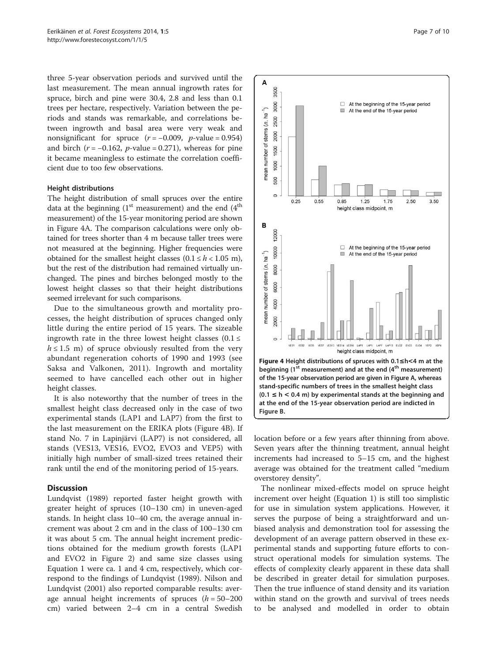three 5-year observation periods and survived until the last measurement. The mean annual ingrowth rates for spruce, birch and pine were 30.4, 2.8 and less than 0.1 trees per hectare, respectively. Variation between the periods and stands was remarkable, and correlations between ingrowth and basal area were very weak and nonsignificant for spruce  $(r = -0.009, p-value = 0.954)$ and birch ( $r = -0.162$ ,  $p$ -value = 0.271), whereas for pine it became meaningless to estimate the correlation coefficient due to too few observations.

## Height distributions

The height distribution of small spruces over the entire data at the beginning  $(1<sup>st</sup>$  measurement) and the end  $(4<sup>th</sup>$ measurement) of the 15-year monitoring period are shown in Figure 4A. The comparison calculations were only obtained for trees shorter than 4 m because taller trees were not measured at the beginning. Higher frequencies were obtained for the smallest height classes  $(0.1 \le h < 1.05 \text{ m})$ , but the rest of the distribution had remained virtually unchanged. The pines and birches belonged mostly to the lowest height classes so that their height distributions seemed irrelevant for such comparisons.

Due to the simultaneous growth and mortality processes, the height distribution of spruces changed only little during the entire period of 15 years. The sizeable ingrowth rate in the three lowest height classes ( $0.1 \le$  $h \leq 1.5$  m) of spruce obviously resulted from the very abundant regeneration cohorts of 1990 and 1993 (see Saksa and Valkonen, [2011](#page-9-0)). Ingrowth and mortality seemed to have cancelled each other out in higher height classes.

It is also noteworthy that the number of trees in the smallest height class decreased only in the case of two experimental stands (LAP1 and LAP7) from the first to the last measurement on the ERIKA plots (Figure 4B). If stand No. 7 in Lapinjärvi (LAP7) is not considered, all stands (VES13, VES16, EVO2, EVO3 and VEP5) with initially high number of small-sized trees retained their rank until the end of the monitoring period of 15-years.

## **Discussion**

Lundqvist ([1989](#page-9-0)) reported faster height growth with greater height of spruces (10–130 cm) in uneven-aged stands. In height class 10–40 cm, the average annual increment was about 2 cm and in the class of 100–130 cm it was about 5 cm. The annual height increment predictions obtained for the medium growth forests (LAP1 and EVO2 in Figure [2](#page-5-0)) and same size classes using Equation [1](#page-4-0) were ca. 1 and 4 cm, respectively, which correspond to the findings of Lundqvist ([1989](#page-9-0)). Nilson and Lundqvist ([2001](#page-9-0)) also reported comparable results: average annual height increments of spruces  $(h = 50-200)$ cm) varied between 2–4 cm in a central Swedish



location before or a few years after thinning from above. Seven years after the thinning treatment, annual height increments had increased to 5–15 cm, and the highest average was obtained for the treatment called "medium overstorey density".

The nonlinear mixed-effects model on spruce height increment over height (Equation [1](#page-4-0)) is still too simplistic for use in simulation system applications. However, it serves the purpose of being a straightforward and unbiased analysis and demonstration tool for assessing the development of an average pattern observed in these experimental stands and supporting future efforts to construct operational models for simulation systems. The effects of complexity clearly apparent in these data shall be described in greater detail for simulation purposes. Then the true influence of stand density and its variation within stand on the growth and survival of trees needs to be analysed and modelled in order to obtain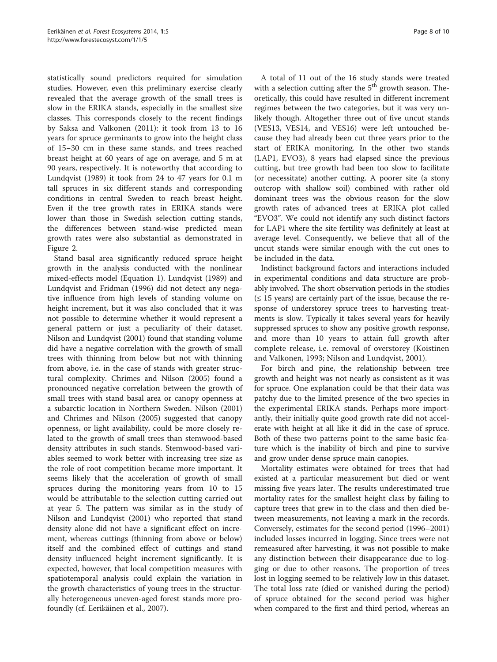statistically sound predictors required for simulation studies. However, even this preliminary exercise clearly revealed that the average growth of the small trees is slow in the ERIKA stands, especially in the smallest size classes. This corresponds closely to the recent findings by Saksa and Valkonen ([2011](#page-9-0)): it took from 13 to 16 years for spruce germinants to grow into the height class of 15−30 cm in these same stands, and trees reached breast height at 60 years of age on average, and 5 m at 90 years, respectively. It is noteworthy that according to Lundqvist [\(1989](#page-9-0)) it took from 24 to 47 years for 0.1 m tall spruces in six different stands and corresponding conditions in central Sweden to reach breast height. Even if the tree growth rates in ERIKA stands were lower than those in Swedish selection cutting stands, the differences between stand-wise predicted mean growth rates were also substantial as demonstrated in Figure [2](#page-5-0).

Stand basal area significantly reduced spruce height growth in the analysis conducted with the nonlinear mixed-effects model (Equation [1\)](#page-4-0). Lundqvist [\(1989\)](#page-9-0) and Lundqvist and Fridman [\(1996\)](#page-9-0) did not detect any negative influence from high levels of standing volume on height increment, but it was also concluded that it was not possible to determine whether it would represent a general pattern or just a peculiarity of their dataset. Nilson and Lundqvist [\(2001\)](#page-9-0) found that standing volume did have a negative correlation with the growth of small trees with thinning from below but not with thinning from above, i.e. in the case of stands with greater structural complexity. Chrimes and Nilson ([2005](#page-8-0)) found a pronounced negative correlation between the growth of small trees with stand basal area or canopy openness at a subarctic location in Northern Sweden. Nilson ([2001](#page-9-0)) and Chrimes and Nilson ([2005](#page-8-0)) suggested that canopy openness, or light availability, could be more closely related to the growth of small trees than stemwood-based density attributes in such stands. Stemwood-based variables seemed to work better with increasing tree size as the role of root competition became more important. It seems likely that the acceleration of growth of small spruces during the monitoring years from 10 to 15 would be attributable to the selection cutting carried out at year 5. The pattern was similar as in the study of Nilson and Lundqvist [\(2001](#page-9-0)) who reported that stand density alone did not have a significant effect on increment, whereas cuttings (thinning from above or below) itself and the combined effect of cuttings and stand density influenced height increment significantly. It is expected, however, that local competition measures with spatiotemporal analysis could explain the variation in the growth characteristics of young trees in the structurally heterogeneous uneven-aged forest stands more profoundly (cf. Eerikäinen et al., [2007](#page-8-0)).

A total of 11 out of the 16 study stands were treated with a selection cutting after the  $5<sup>th</sup>$  growth season. Theoretically, this could have resulted in different increment regimes between the two categories, but it was very unlikely though. Altogether three out of five uncut stands (VES13, VES14, and VES16) were left untouched because they had already been cut three years prior to the start of ERIKA monitoring. In the other two stands (LAP1, EVO3), 8 years had elapsed since the previous cutting, but tree growth had been too slow to facilitate (or necessitate) another cutting. A poorer site (a stony outcrop with shallow soil) combined with rather old dominant trees was the obvious reason for the slow growth rates of advanced trees at ERIKA plot called "EVO3". We could not identify any such distinct factors for LAP1 where the site fertility was definitely at least at average level. Consequently, we believe that all of the uncut stands were similar enough with the cut ones to be included in the data.

Indistinct background factors and interactions included in experimental conditions and data structure are probably involved. The short observation periods in the studies  $(≤ 15 \text{ years})$  are certainly part of the issue, because the response of understorey spruce trees to harvesting treatments is slow. Typically it takes several years for heavily suppressed spruces to show any positive growth response, and more than 10 years to attain full growth after complete release, i.e. removal of overstorey (Koistinen and Valkonen, [1993;](#page-9-0) Nilson and Lundqvist, [2001](#page-9-0)).

For birch and pine, the relationship between tree growth and height was not nearly as consistent as it was for spruce. One explanation could be that their data was patchy due to the limited presence of the two species in the experimental ERIKA stands. Perhaps more importantly, their initially quite good growth rate did not accelerate with height at all like it did in the case of spruce. Both of these two patterns point to the same basic feature which is the inability of birch and pine to survive and grow under dense spruce main canopies.

Mortality estimates were obtained for trees that had existed at a particular measurement but died or went missing five years later. The results underestimated true mortality rates for the smallest height class by failing to capture trees that grew in to the class and then died between measurements, not leaving a mark in the records. Conversely, estimates for the second period (1996–2001) included losses incurred in logging. Since trees were not remeasured after harvesting, it was not possible to make any distinction between their disappearance due to logging or due to other reasons. The proportion of trees lost in logging seemed to be relatively low in this dataset. The total loss rate (died or vanished during the period) of spruce obtained for the second period was higher when compared to the first and third period, whereas an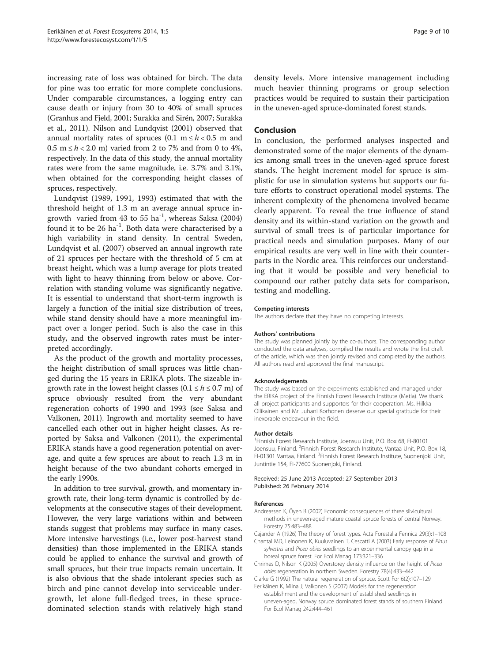<span id="page-8-0"></span>increasing rate of loss was obtained for birch. The data for pine was too erratic for more complete conclusions. Under comparable circumstances, a logging entry can cause death or injury from 30 to 40% of small spruces (Granhus and Fjeld, [2001](#page-9-0); Surakka and Sirén, [2007](#page-9-0); Surakka et al., [2011\)](#page-9-0). Nilson and Lundqvist [\(2001\)](#page-9-0) observed that annual mortality rates of spruces (0.1 m  $\le h < 0.5$  m and 0.5 m  $\le h$  < 2.0 m) varied from 2 to 7% and from 0 to 4%, respectively. In the data of this study, the annual mortality rates were from the same magnitude, i.e. 3.7% and 3.1%, when obtained for the corresponding height classes of spruces, respectively.

Lundqvist ([1989](#page-9-0), [1991](#page-9-0), [1993](#page-9-0)) estimated that with the threshold height of 1.3 m an average annual spruce ingrowth varied from 43 to 55  $ha^{-1}$ , whereas Saksa ([2004](#page-9-0)) found it to be 26 ha<sup>-1</sup>. Both data were characterised by a high variability in stand density. In central Sweden, Lundqvist et al. [\(2007\)](#page-9-0) observed an annual ingrowth rate of 21 spruces per hectare with the threshold of 5 cm at breast height, which was a lump average for plots treated with light to heavy thinning from below or above. Correlation with standing volume was significantly negative. It is essential to understand that short-term ingrowth is largely a function of the initial size distribution of trees, while stand density should have a more meaningful impact over a longer period. Such is also the case in this study, and the observed ingrowth rates must be interpreted accordingly.

As the product of the growth and mortality processes, the height distribution of small spruces was little changed during the 15 years in ERIKA plots. The sizeable ingrowth rate in the lowest height classes (0.1  $\le h \le 0.7$  m) of spruce obviously resulted from the very abundant regeneration cohorts of 1990 and 1993 (see Saksa and Valkonen, [2011](#page-9-0)). Ingrowth and mortality seemed to have cancelled each other out in higher height classes. As reported by Saksa and Valkonen [\(2011\)](#page-9-0), the experimental ERIKA stands have a good regeneration potential on average, and quite a few spruces are about to reach 1.3 m in height because of the two abundant cohorts emerged in the early 1990s.

In addition to tree survival, growth, and momentary ingrowth rate, their long-term dynamic is controlled by developments at the consecutive stages of their development. However, the very large variations within and between stands suggest that problems may surface in many cases. More intensive harvestings (i.e., lower post-harvest stand densities) than those implemented in the ERIKA stands could be applied to enhance the survival and growth of small spruces, but their true impacts remain uncertain. It is also obvious that the shade intolerant species such as birch and pine cannot develop into serviceable undergrowth, let alone full-fledged trees, in these sprucedominated selection stands with relatively high stand

density levels. More intensive management including much heavier thinning programs or group selection practices would be required to sustain their participation in the uneven-aged spruce-dominated forest stands.

## Conclusion

In conclusion, the performed analyses inspected and demonstrated some of the major elements of the dynamics among small trees in the uneven-aged spruce forest stands. The height increment model for spruce is simplistic for use in simulation systems but supports our future efforts to construct operational model systems. The inherent complexity of the phenomena involved became clearly apparent. To reveal the true influence of stand density and its within-stand variation on the growth and survival of small trees is of particular importance for practical needs and simulation purposes. Many of our empirical results are very well in line with their counterparts in the Nordic area. This reinforces our understanding that it would be possible and very beneficial to compound our rather patchy data sets for comparison, testing and modelling.

#### Competing interests

The authors declare that they have no competing interests.

#### Authors' contributions

The study was planned jointly by the co-authors. The corresponding author conducted the data analyses, compiled the results and wrote the first draft of the article, which was then jointly revised and completed by the authors. All authors read and approved the final manuscript.

#### Acknowledgements

The study was based on the experiments established and managed under the ERIKA project of the Finnish Forest Research Institute (Metla). We thank all project participants and supporters for their cooperation. Ms. Hilkka Ollikainen and Mr. Juhani Korhonen deserve our special gratitude for their inexorable endeavour in the field.

#### Author details

1 Finnish Forest Research Institute, Joensuu Unit, P.O. Box 68, FI-80101 Joensuu, Finland. <sup>2</sup> Finnish Forest Research Institute, Vantaa Unit, P.O. Box 18 FI-01301 Vantaa, Finland. <sup>3</sup> Finnish Forest Research Institute, Suonenjoki Unit Juntintie 154, FI-77600 Suonenjoki, Finland.

#### Received: 25 June 2013 Accepted: 27 September 2013 Published: 26 February 2014

#### References

- Andreassen K, Öyen B (2002) Economic consequences of three silvicultural methods in uneven-aged mature coastal spruce forests of central Norway. Forestry 75:483–488
- Cajander A (1926) The theory of forest types. Acta Forestalia Fennica 29(3):1–108 Chantal MD, Leinonen K, Kuuluvainen T, Cescatti A (2003) Early response of Pinus sylvestris and Picea abies seedlings to an experimental canopy gap in a
- boreal spruce forest. For Ecol Manag 173:321–336
- Chrimes D, Nilson K (2005) Overstorey density influence on the height of Picea abies regeneration in northern Sweden. Forestry 78(4):433–442
- Clarke G (1992) The natural regeneration of spruce. Scott For 6(2):107–129 Eerikäinen K, Miina J, Valkonen S (2007) Models for the regeneration establishment and the development of established seedlings in
- uneven-aged, Norway spruce dominated forest stands of southern Finland. For Ecol Manag 242:444–461